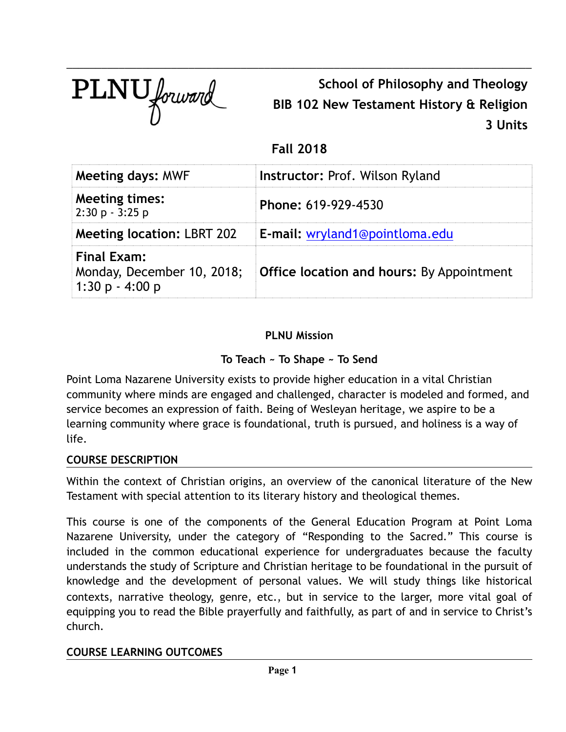| $\text{PLNU}_{forward}$ |  |
|-------------------------|--|
|                         |  |

**School of Philosophy and Theology BIB 102 New Testament History & Religion 3 Units**

# **Fall 2018**

\_\_\_\_\_\_\_\_\_\_\_\_\_\_\_\_\_\_\_\_\_\_\_\_\_\_\_\_\_\_\_\_\_\_\_\_\_\_\_\_\_\_\_\_\_\_\_\_\_\_\_\_\_\_\_\_\_\_\_\_\_\_\_\_\_\_\_\_\_\_\_\_\_\_\_\_\_\_\_\_

| <b>Meeting days: MWF</b>                                              | <b>Instructor: Prof. Wilson Ryland</b>           |
|-----------------------------------------------------------------------|--------------------------------------------------|
| <b>Meeting times:</b><br>$2:30 p - 3:25 p$                            | Phone: 619-929-4530                              |
| <b>Meeting location: LBRT 202</b>                                     | E-mail: wryland1@pointloma.edu                   |
| <b>Final Exam:</b><br>Monday, December 10, 2018;<br>1:30 $p - 4:00 p$ | <b>Office location and hours: By Appointment</b> |

# **PLNU Mission**

# **To Teach ~ To Shape ~ To Send**

Point Loma Nazarene University exists to provide higher education in a vital Christian community where minds are engaged and challenged, character is modeled and formed, and service becomes an expression of faith. Being of Wesleyan heritage, we aspire to be a learning community where grace is foundational, truth is pursued, and holiness is a way of life.

#### **COURSE DESCRIPTION**

Within the context of Christian origins, an overview of the canonical literature of the New Testament with special attention to its literary history and theological themes.

This course is one of the components of the General Education Program at Point Loma Nazarene University, under the category of "Responding to the Sacred." This course is included in the common educational experience for undergraduates because the faculty understands the study of Scripture and Christian heritage to be foundational in the pursuit of knowledge and the development of personal values. We will study things like historical contexts, narrative theology, genre, etc., but in service to the larger, more vital goal of equipping you to read the Bible prayerfully and faithfully, as part of and in service to Christ's church.

#### **COURSE LEARNING OUTCOMES**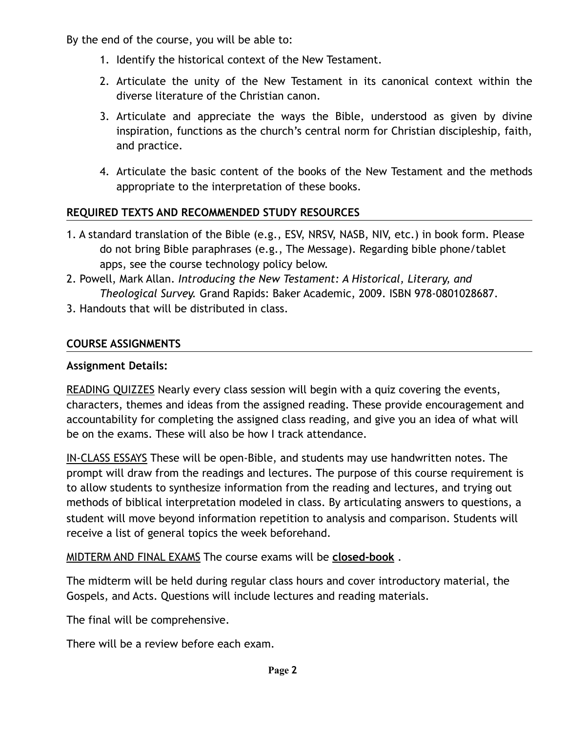By the end of the course, you will be able to:

- 1. Identify the historical context of the New Testament.
- 2. Articulate the unity of the New Testament in its canonical context within the diverse literature of the Christian canon.
- 3. Articulate and appreciate the ways the Bible, understood as given by divine inspiration, functions as the church's central norm for Christian discipleship, faith, and practice.
- 4. Articulate the basic content of the books of the New Testament and the methods appropriate to the interpretation of these books.

# **REQUIRED TEXTS AND RECOMMENDED STUDY RESOURCES**

- 1. A standard translation of the Bible (e.g., ESV, NRSV, NASB, NIV, etc.) in book form. Please do not bring Bible paraphrases (e.g., The Message). Regarding bible phone/tablet apps, see the course technology policy below.
- 2. Powell, Mark Allan. *Introducing the New Testament: A Historical, Literary, and Theological Survey.* Grand Rapids: Baker Academic, 2009. ISBN 978-0801028687.
- 3. Handouts that will be distributed in class.

# **COURSE ASSIGNMENTS**

## **Assignment Details:**

READING QUIZZES Nearly every class session will begin with a quiz covering the events, characters, themes and ideas from the assigned reading. These provide encouragement and accountability for completing the assigned class reading, and give you an idea of what will be on the exams. These will also be how I track attendance.

IN-CLASS ESSAYS These will be open-Bible, and students may use handwritten notes. The prompt will draw from the readings and lectures. The purpose of this course requirement is to allow students to synthesize information from the reading and lectures, and trying out methods of biblical interpretation modeled in class. By articulating answers to questions, a student will move beyond information repetition to analysis and comparison. Students will receive a list of general topics the week beforehand.

MIDTERM AND FINAL EXAMS The course exams will be **closed-book** .

The midterm will be held during regular class hours and cover introductory material, the Gospels, and Acts. Questions will include lectures and reading materials.

The final will be comprehensive.

There will be a review before each exam.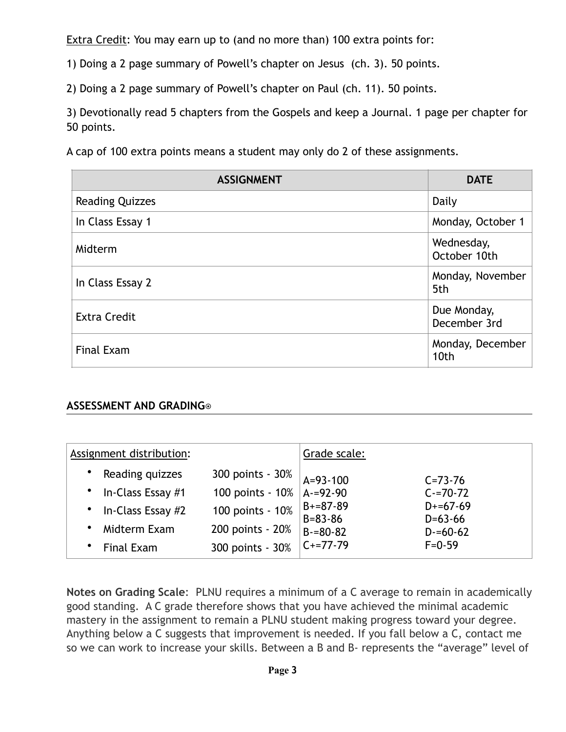Extra Credit: You may earn up to (and no more than) 100 extra points for:

1) Doing a 2 page summary of Powell's chapter on Jesus (ch. 3). 50 points.

2) Doing a 2 page summary of Powell's chapter on Paul (ch. 11). 50 points.

3) Devotionally read 5 chapters from the Gospels and keep a Journal. 1 page per chapter for 50 points.

A cap of 100 extra points means a student may only do 2 of these assignments.

| <b>ASSIGNMENT</b>      | <b>DATE</b>                          |
|------------------------|--------------------------------------|
| <b>Reading Quizzes</b> | Daily                                |
| In Class Essay 1       | Monday, October 1                    |
| Midterm                | Wednesday,<br>October 10th           |
| In Class Essay 2       | Monday, November<br>5th              |
| <b>Extra Credit</b>    | Due Monday,<br>December 3rd          |
| <b>Final Exam</b>      | Monday, December<br>10 <sub>th</sub> |

#### **ASSESSMENT AND GRADING**⍟

| Assignment distribution:       |                  | Grade scale:                |                           |
|--------------------------------|------------------|-----------------------------|---------------------------|
| ٠<br>Reading quizzes           | 300 points - 30% | $A = 93 - 100$              | $C = 73 - 76$             |
| In-Class Essay #1<br>$\bullet$ | 100 points - 10% | $A = 92 - 90$               | $C = 70 - 72$             |
| In-Class Essay #2<br>$\bullet$ | 100 points - 10% | $B+=87-89$<br>$B = 83 - 86$ | $D+ = 67-69$<br>$D=63-66$ |
| ٠<br>Midterm Exam              | 200 points - 20% | $B = 80 - 82$               | $D = 60 - 62$             |
| <b>Final Exam</b><br>٠         | 300 points - 30% | $C+=77-79$                  | $F = 0.59$                |

**Notes on Grading Scale**: PLNU requires a minimum of a C average to remain in academically good standing. A C grade therefore shows that you have achieved the minimal academic mastery in the assignment to remain a PLNU student making progress toward your degree. Anything below a C suggests that improvement is needed. If you fall below a C, contact me so we can work to increase your skills. Between a B and B- represents the "average" level of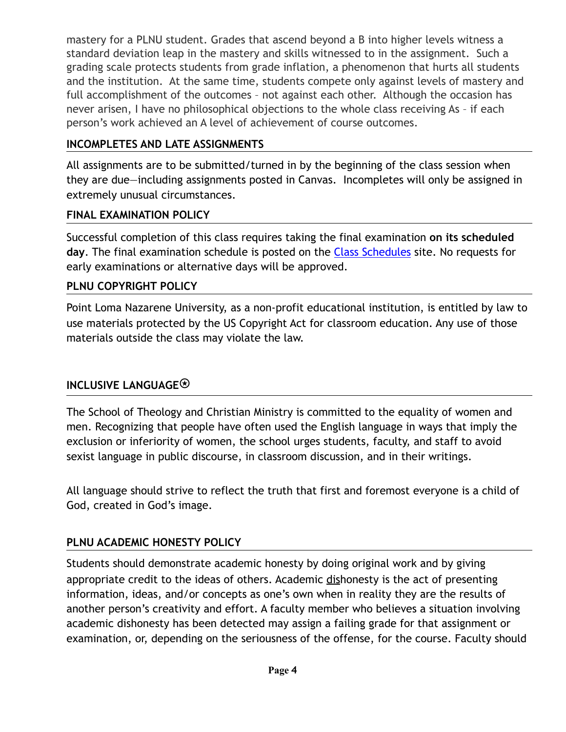mastery for a PLNU student. Grades that ascend beyond a B into higher levels witness a standard deviation leap in the mastery and skills witnessed to in the assignment. Such a grading scale protects students from grade inflation, a phenomenon that hurts all students and the institution. At the same time, students compete only against levels of mastery and full accomplishment of the outcomes – not against each other. Although the occasion has never arisen, I have no philosophical objections to the whole class receiving As – if each person's work achieved an A level of achievement of course outcomes.

### **INCOMPLETES AND LATE ASSIGNMENTS**

All assignments are to be submitted/turned in by the beginning of the class session when they are due—including assignments posted in Canvas. Incompletes will only be assigned in extremely unusual circumstances.

### **FINAL EXAMINATION POLICY**

Successful completion of this class requires taking the final examination **on its scheduled day**. The final examination schedule is posted on the [Class Schedules](http://www.pointloma.edu/experience/academics/class-schedules) site. No requests for early examinations or alternative days will be approved.

### **PLNU COPYRIGHT POLICY**

Point Loma Nazarene University, as a non-profit educational institution, is entitled by law to use materials protected by the US Copyright Act for classroom education. Any use of those materials outside the class may violate the law.

# **INCLUSIVE LANGUAGE**⍟

The School of Theology and Christian Ministry is committed to the equality of women and men. Recognizing that people have often used the English language in ways that imply the exclusion or inferiority of women, the school urges students, faculty, and staff to avoid sexist language in public discourse, in classroom discussion, and in their writings.

All language should strive to reflect the truth that first and foremost everyone is a child of God, created in God's image.

# **PLNU ACADEMIC HONESTY POLICY**

Students should demonstrate academic honesty by doing original work and by giving appropriate credit to the ideas of others. Academic dishonesty is the act of presenting information, ideas, and/or concepts as one's own when in reality they are the results of another person's creativity and effort. A faculty member who believes a situation involving academic dishonesty has been detected may assign a failing grade for that assignment or examination, or, depending on the seriousness of the offense, for the course. Faculty should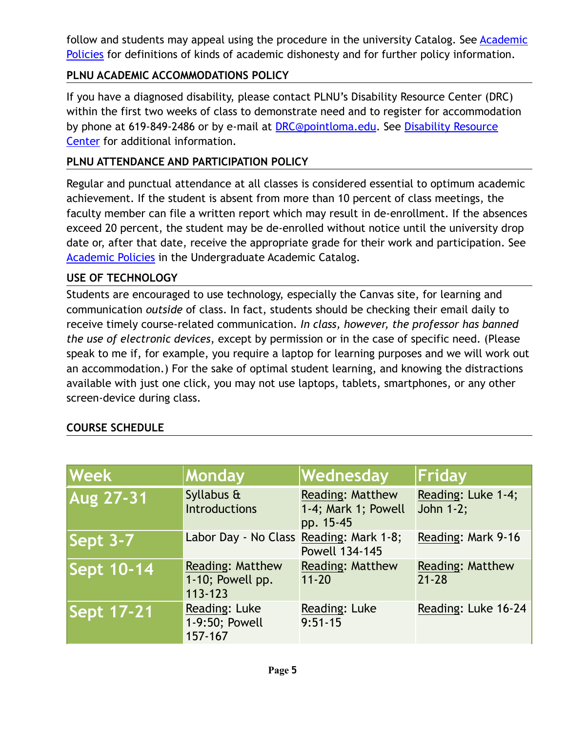follow and students may appeal using the procedure in the university Catalog. See Academic [Policies](http://catalog.pointloma.edu/content.php?catoid=18&navoid=1278) for definitions of kinds of academic dishonesty and for further policy information.

#### **PLNU ACADEMIC ACCOMMODATIONS POLICY**

If you have a diagnosed disability, please contact PLNU's Disability Resource Center (DRC) within the first two weeks of class to demonstrate need and to register for accommodation by phone at 619-849-2486 or by e-mail at **[DRC@pointloma.edu](mailto:DRC@pointloma.edu).** See Disability Resource [Center](http://www.pointloma.edu/experience/offices/administrative-offices/academic-advising-office/disability-resource-center) for additional information.

### **PLNU ATTENDANCE AND PARTICIPATION POLICY**

Regular and punctual attendance at all classes is considered essential to optimum academic achievement. If the student is absent from more than 10 percent of class meetings, the faculty member can file a written report which may result in de-enrollment. If the absences exceed 20 percent, the student may be de-enrolled without notice until the university drop date or, after that date, receive the appropriate grade for their work and participation. See [Academic Policies](http://catalog.pointloma.edu/content.php?catoid=18&navoid=1278) in the Undergraduate Academic Catalog.

#### **USE OF TECHNOLOGY**

Students are encouraged to use technology, especially the Canvas site, for learning and communication *outside* of class. In fact, students should be checking their email daily to receive timely course-related communication. *In class, however, the professor has banned the use of electronic devices*, except by permission or in the case of specific need. (Please speak to me if, for example, you require a laptop for learning purposes and we will work out an accommodation.) For the sake of optimal student learning, and knowing the distractions available with just one click, you may not use laptops, tablets, smartphones, or any other screen-device during class.

#### **COURSE SCHEDULE**

| <b>Week</b>       | Monday                                                     | Wednesday                                                   | Friday                               |
|-------------------|------------------------------------------------------------|-------------------------------------------------------------|--------------------------------------|
| <b>Aug 27-31</b>  | Syllabus &<br><b>Introductions</b>                         | <b>Reading: Matthew</b><br>1-4; Mark 1; Powell<br>pp. 15-45 | Reading: Luke 1-4;<br>John 1-2;      |
| Sept 3-7          | Labor Day - No Class Reading: Mark 1-8;                    | <b>Powell 134-145</b>                                       | Reading: Mark 9-16                   |
| <b>Sept 10-14</b> | <b>Reading: Matthew</b><br>1-10; Powell pp.<br>$113 - 123$ | <b>Reading: Matthew</b><br>$11 - 20$                        | <b>Reading: Matthew</b><br>$21 - 28$ |
| <b>Sept 17-21</b> | Reading: Luke<br>1-9:50; Powell<br>157-167                 | Reading: Luke<br>$9:51-15$                                  | Reading: Luke 16-24                  |